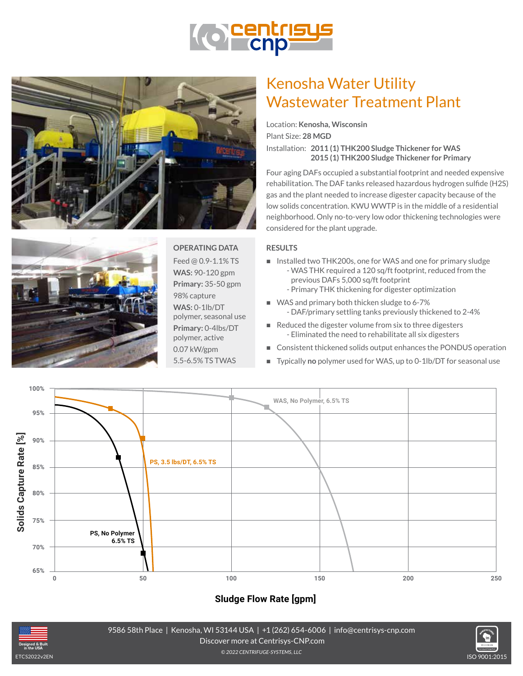





**OPERATING DATA** Feed @ 0.9-1.1% TS **WAS:** 90-120 gpm **Primary:** 35-50 gpm 98% capture **WAS:** 0-1lb/DT polymer, seasonal use **Primary:** 0-4lbs/DT polymer, active 0.07 kW/gpm 5.5-6.5% TS TWAS

# Kenosha Water Utility Wastewater Treatment Plant

Location: **Kenosha, Wisconsin** Plant Size: **28 MGD** Installation: **2011 (1) THK200 Sludge Thickener for WAS 2015 (1) THK200 Sludge Thickener for Primary**

Four aging DAFs occupied a substantial footprint and needed expensive rehabilitation. The DAF tanks released hazardous hydrogen sulfide (H2S) gas and the plant needed to increase digester capacity because of the low solids concentration. KWU WWTP is in the middle of a residential neighborhood. Only no-to-very low odor thickening technologies were considered for the plant upgrade.

#### **RESULTS**

- n Installed two THK200s, one for WAS and one for primary sludge - WAS THK required a 120 sq/ft footprint, reduced from the previous DAFs 5,000 sq/ft footprint - Primary THK thickening for digester optimization
- WAS and primary both thicken sludge to 6-7% - DAF/primary settling tanks previously thickened to 2-4%
- $\blacksquare$  Reduced the digester volume from six to three digesters - Eliminated the need to rehabilitate all six digesters
- Consistent thickened solids output enhances the PONDUS operation
- o.o7 kW/gpm Consistent thickened solids output enhances the PONDOS operation<br>E.5-6.5% TS TWAS Typically **no** polymer used for WAS, up to 0-1lb/DT for seasonal use



**Kenosha Water Utility Wastewater Treatment Plant | Kenosha, Wisconsin**

### **Sludge Flow Rate [gpm]**



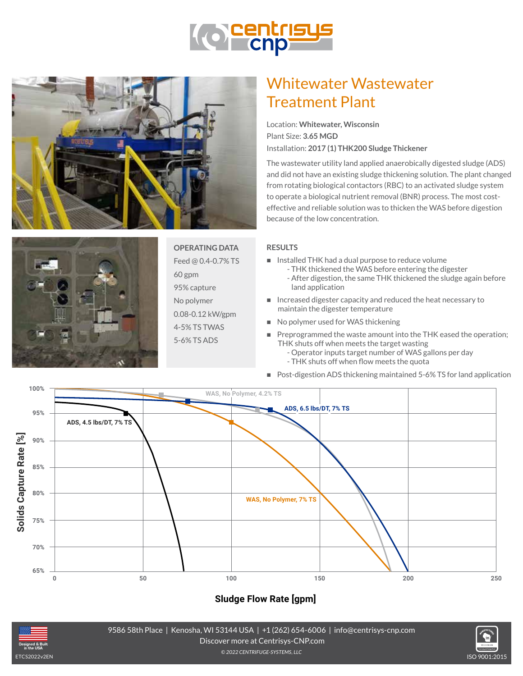





**OPERATING DATA** Feed @ 0.4-0.7% TS 60 gpm

95% capture

No polymer 0.08-0.12 kW/gpm

4-5% TS TWAS

5-6% TS ADS

# Whitewater Wastewater Treatment Plant

Location: **Whitewater, Wisconsin** Plant Size: **3.65 MGD** Installation: **2017 (1) THK200 Sludge Thickener**

The wastewater utility land applied anaerobically digested sludge (ADS) and did not have an existing sludge thickening solution. The plant changed from rotating biological contactors (RBC) to an activated sludge system to operate a biological nutrient removal (BNR) process. The most costeffective and reliable solution was to thicken the WAS before digestion because of the low concentration.

#### **RESULTS**

- n Installed THK had a dual purpose to reduce volume
	- THK thickened the WAS before entering the digester - After digestion, the same THK thickened the sludge again before land application
- n Increased digester capacity and reduced the heat necessary to maintain the digester temperature
- No polymer used for WAS thickening
- **Preprogrammed the waste amount into the THK eased the operation;** THK shuts off when meets the target wasting
- **Performance Curves Inputs target number of WAS gallons per day** 
	- THK shuts off when flow meets the quota
- **Whitewater Washer New York in Post-digestion ADS thickening maintained 5-6% TS for land application**



## **Sludge Flow Rate [gpm]**



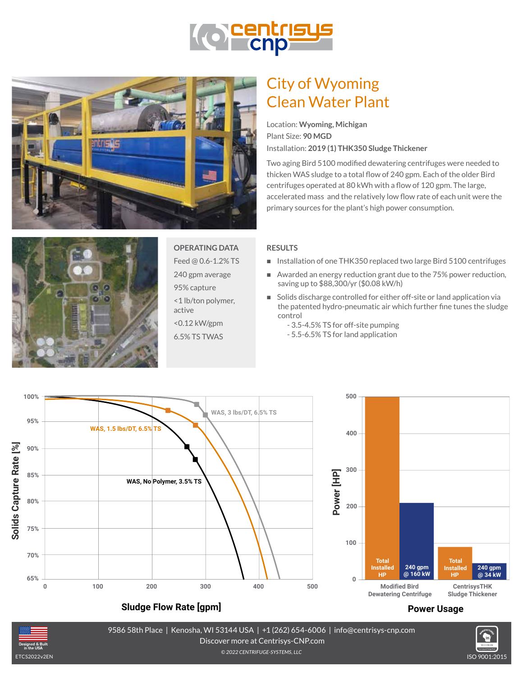





## **OPERATING DATA**

Feed @ 0.6-1.2% TS

240 gpm average

95% capture <1 lb/ton polymer,

active <0.12 kW/gpm

6.5% TS TWAS

## City of Wyoming Clean Water Plant

Location: **Wyoming, Michigan** Plant Size: **90 MGD** Installation: **2019 (1) THK350 Sludge Thickener**

Two aging Bird 5100 modified dewatering centrifuges were needed to thicken WAS sludge to a total flow of 240 gpm. Each of the older Bird centrifuges operated at 80 kWh with a flow of 120 gpm. The large, accelerated mass and the relatively low flow rate of each unit were the primary sources for the plant's high power consumption.

#### **RESULTS**

- Installation of one THK350 replaced two large Bird 5100 centrifuges
- Awarded an energy reduction grant due to the 75% power reduction, saving up to \$88,300/yr (\$0.08 kW/h)
- Solids discharge controlled for either off-site or land application via the patented hydro-pneumatic air which further fine tunes the sludge control
	- 3.5-4.5% TS for off-site pumping
	- 5.5-6.5% TS for land application



### **Sludge Flow Rate [gpm]**

#### **Power Usage**

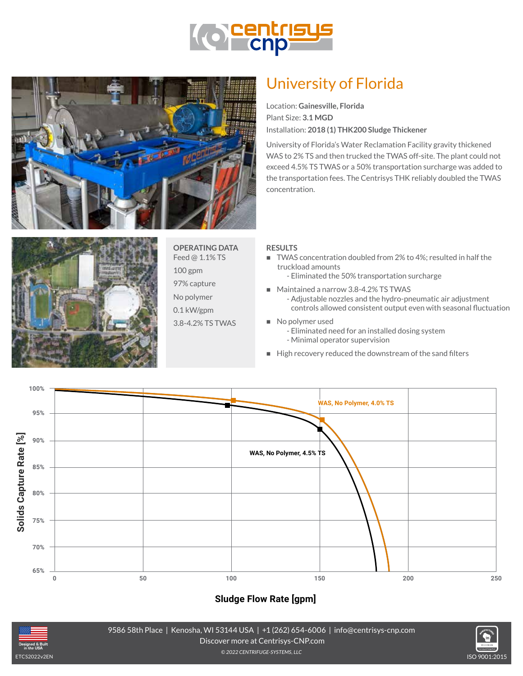





### **OPERATING DATA**

Feed @ 1.1% TS

100 gpm

97% capture

No polymer

0.1 kW/gpm

3.8-4.2% TS TWAS

## University of Florida

Location: **Gainesville, Florida** Plant Size: **3.1 MGD** Installation: **2018 (1) THK200 Sludge Thickener**

University of Florida's Water Reclamation Facility gravity thickened WAS to 2% TS and then trucked the TWAS off-site. The plant could not exceed 4.5% TS TWAS or a 50% transportation surcharge was added to the transportation fees. The Centrisys THK reliably doubled the TWAS concentration.

#### **RESULTS**

- TWAS concentration doubled from 2% to 4%; resulted in half the truckload amounts
	- Eliminated the 50% transportation surcharge
- Maintained a narrow 3.8-4.2% TS TWAS
	- Adjustable nozzles and the hydro-pneumatic air adjustment controls allowed consistent output even with seasonal fluctuation
- No polymer used
	- Eliminated need for an installed dosing system - Minimal operator supervision
- **Performance Curves I (1) THE High recovery reduced the downstream of the sand filters**



### **Sludge Flow Rate [gpm]**